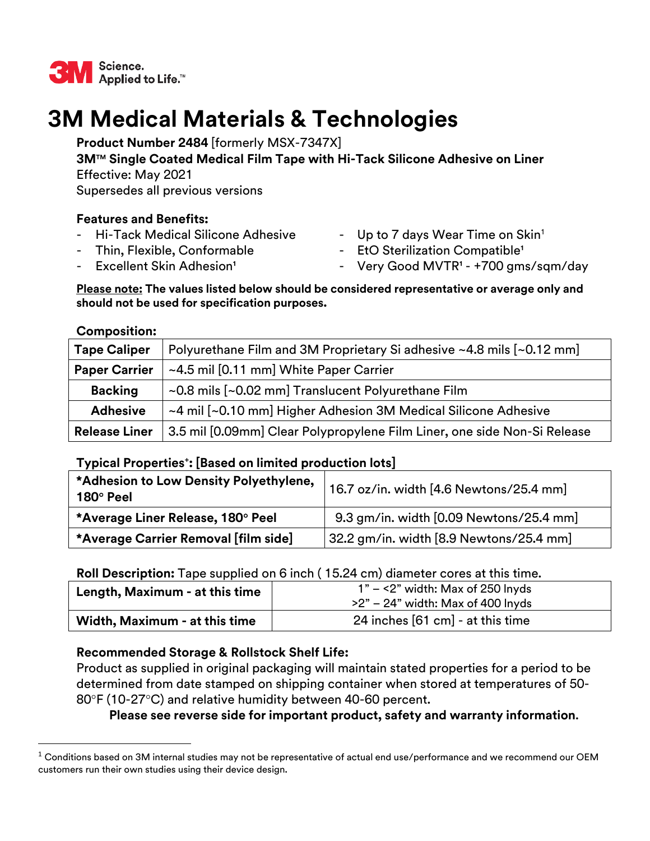

# **3M Medical Materials & Technologies**

**Product Number 2484** [formerly MSX-7347X]

**3MTM Single Coated Medical Film Tape with Hi-Tack Silicone Adhesive on Liner**  Effective: May 2021

Supersedes all previous versions

## **Features and Benefits:**

- 
- 
- Hi-Tack Medical Silicone Adhesive Up to 7 days Wear Time on Skin<sup>1</sup>
- Thin, Flexible, Conformable  **EtO Sterilization Compatible**<sup>1</sup>
- 
- Excellent Skin Adhesion<sup>1</sup> The State of Cery Good MVTR<sup>1</sup> +700 gms/sqm/day

#### **Please note: The values listed below should be considered representative or average only and should not be used for specification purposes.**

### **Composition:**

| <b>Tape Caliper</b>  | Polyurethane Film and 3M Proprietary Si adhesive ~4.8 mils [~0.12 mm]    |  |
|----------------------|--------------------------------------------------------------------------|--|
| <b>Paper Carrier</b> | ~4.5 mil [0.11 mm] White Paper Carrier                                   |  |
| <b>Backing</b>       | ~0.8 mils [~0.02 mm] Translucent Polyurethane Film                       |  |
| <b>Adhesive</b>      | ~4 mil [~0.10 mm] Higher Adhesion 3M Medical Silicone Adhesive           |  |
| <b>Release Liner</b> | 3.5 mil [0.09mm] Clear Polypropylene Film Liner, one side Non-Si Release |  |

### **Typical Properties<sup>+</sup> : [Based on limited production lots]**

| *Adhesion to Low Density Polyethylene,<br>$180^\circ$ Peel | 16.7 oz/in. width [4.6 Newtons/25.4 mm]                |
|------------------------------------------------------------|--------------------------------------------------------|
| *Average Liner Release, 180° Peel                          | 9.3 gm/in. width [0.09 Newtons/25.4 mm]                |
| *Average Carrier Removal [film side]                       | $\left 32.2\right.$ gm/in. width [8.9 Newtons/25.4 mm] |

# **Roll Description:** Tape supplied on 6 inch ( 15.24 cm) diameter cores at this time.

| Length, Maximum - at this time | $1" - \leq 2"$ width: Max of 250 lnyds<br>$>2"$ – 24" width: Max of 400 lnyds |
|--------------------------------|-------------------------------------------------------------------------------|
| Width, Maximum - at this time  | 24 inches [61 cm] - at this time                                              |

# **Recommended Storage & Rollstock Shelf Life:**

Product as supplied in original packaging will maintain stated properties for a period to be determined from date stamped on shipping container when stored at temperatures of 50- 80°F (10-27°C) and relative humidity between 40-60 percent.

# **Please see reverse side for important product, safety and warranty information**.

 $1$  Conditions based on 3M internal studies may not be representative of actual end use/performance and we recommend our OEM customers run their own studies using their device design.